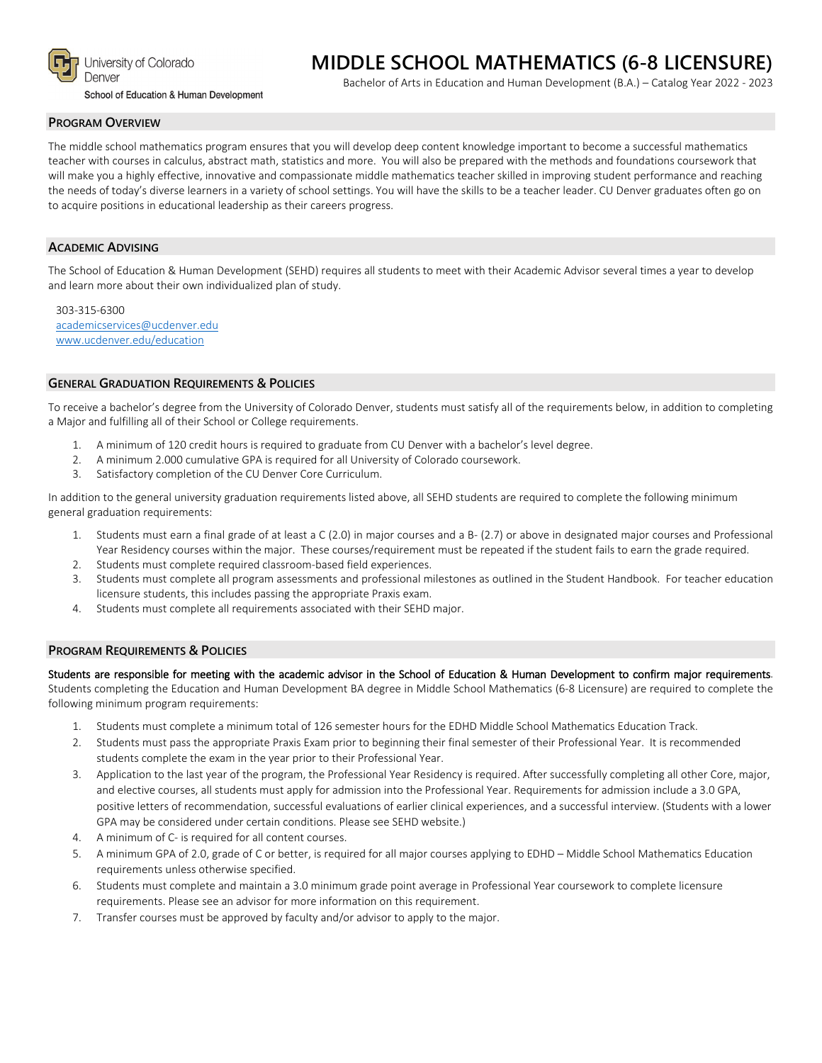

School of Education & Human Development

# **MIDDLE SCHOOL MATHEMATICS (6-8 LICENSURE)**

Bachelor of Arts in Education and Human Development (B.A.) – Catalog Year 2022 - 2023

#### **PROGRAM OVERVIEW**

The middle school mathematics program ensures that you will develop deep content knowledge important to become a successful mathematics teacher with courses in calculus, abstract math, statistics and more. You will also be prepared with the methods and foundations coursework that will make you a highly effective, innovative and compassionate middle mathematics teacher skilled in improving student performance and reaching the needs of today's diverse learners in a variety of school settings. You will have the skills to be a teacher leader. CU Denver graduates often go on to acquire positions in educational leadership as their careers progress.

### **ACADEMIC ADVISING**

The School of Education & Human Development (SEHD) requires all students to meet with their Academic Advisor several times a year to develop and learn more about their own individualized plan of study.

303-315-6300 [academicservices@ucdenver.edu](mailto:academicservices@ucdenver.edu) [www.ucdenver.edu/education](http://www.ucdenver.edu/education)

### **GENERAL GRADUATION REQUIREMENTS & POLICIES**

To receive a bachelor's degree from the University of Colorado Denver, students must satisfy all of the requirements below, in addition to completing a Major and fulfilling all of their School or College requirements.

- 1. A minimum of 120 credit hours is required to graduate from CU Denver with a bachelor's level degree.
- 2. A minimum 2.000 cumulative GPA is required for all University of Colorado coursework.
- 3. Satisfactory completion of the CU Denver Core Curriculum.

In addition to the general university graduation requirements listed above, all SEHD students are required to complete the following minimum general graduation requirements:

- 1. Students must earn a final grade of at least a C (2.0) in major courses and a B- (2.7) or above in designated major courses and Professional Year Residency courses within the major. These courses/requirement must be repeated if the student fails to earn the grade required.
- 2. Students must complete required classroom-based field experiences.
- 3. Students must complete all program assessments and professional milestones as outlined in the Student Handbook. For teacher education licensure students, this includes passing the appropriate Praxis exam.
- 4. Students must complete all requirements associated with their SEHD major.

#### **PROGRAM REQUIREMENTS & POLICIES**

following minimum program requirements:

Students are responsible for meeting with the academic advisor in the School of Education & Human Development to confirm major requirements. Students completing the Education and Human Development BA degree in Middle School Mathematics (6-8 Licensure) are required to complete the

- 1. Students must complete a minimum total of 126 semester hours for the EDHD Middle School Mathematics Education Track.
- 2. Students must pass the appropriate Praxis Exam prior to beginning their final semester of their Professional Year. It is recommended students complete the exam in the year prior to their Professional Year.
- 3. Application to the last year of the program, the Professional Year Residency is required. After successfully completing all other Core, major, and elective courses, all students must apply for admission into the Professional Year. Requirements for admission include a 3.0 GPA, positive letters of recommendation, successful evaluations of earlier clinical experiences, and a successful interview. (Students with a lower GPA may be considered under certain conditions. Please see SEHD website.)
- 4. A minimum of C- is required for all content courses.
- 5. A minimum GPA of 2.0, grade of C or better, is required for all major courses applying to EDHD Middle School Mathematics Education requirements unless otherwise specified.
- 6. Students must complete and maintain a 3.0 minimum grade point average in Professional Year coursework to complete licensure requirements. Please see an advisor for more information on this requirement.
- 7. Transfer courses must be approved by faculty and/or advisor to apply to the major.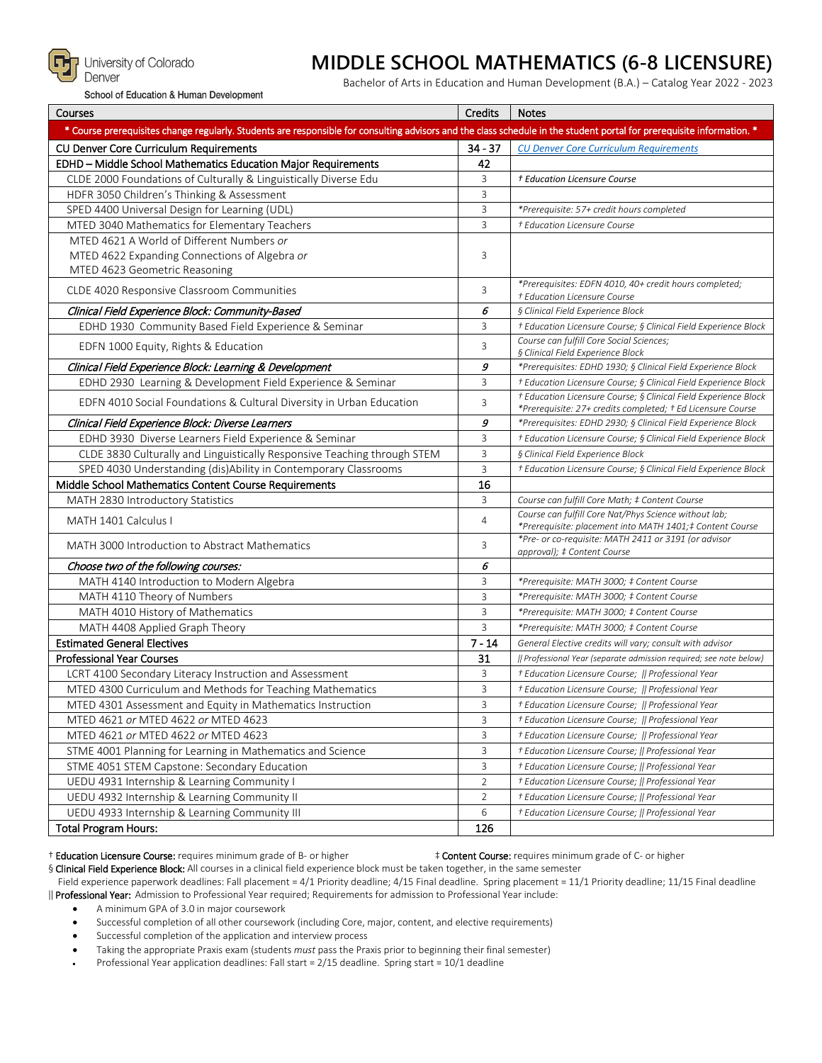

## **MIDDLE SCHOOL MATHEMATICS (6-8 LICENSURE)**

School of Education & Human Development

Bachelor of Arts in Education and Human Development (B.A.) – Catalog Year 2022 - 2023

| Courses                                                                                                                                                                | Credits        | <b>Notes</b>                                                                                                                   |
|------------------------------------------------------------------------------------------------------------------------------------------------------------------------|----------------|--------------------------------------------------------------------------------------------------------------------------------|
| * Course prerequisites change regularly. Students are responsible for consulting advisors and the class schedule in the student portal for prerequisite information. * |                |                                                                                                                                |
| CU Denver Core Curriculum Requirements                                                                                                                                 | $34 - 37$      | <b>CU Denver Core Curriculum Requirements</b>                                                                                  |
| EDHD - Middle School Mathematics Education Major Requirements                                                                                                          | 42             |                                                                                                                                |
| CLDE 2000 Foundations of Culturally & Linguistically Diverse Edu                                                                                                       | 3              | † Education Licensure Course                                                                                                   |
| HDFR 3050 Children's Thinking & Assessment                                                                                                                             | 3              |                                                                                                                                |
| SPED 4400 Universal Design for Learning (UDL)                                                                                                                          | 3              | *Prerequisite: 57+ credit hours completed                                                                                      |
| MTED 3040 Mathematics for Elementary Teachers                                                                                                                          | $\overline{3}$ | † Education Licensure Course                                                                                                   |
| MTED 4621 A World of Different Numbers or                                                                                                                              |                |                                                                                                                                |
| MTED 4622 Expanding Connections of Algebra or                                                                                                                          | 3              |                                                                                                                                |
| MTED 4623 Geometric Reasoning                                                                                                                                          |                |                                                                                                                                |
| CLDE 4020 Responsive Classroom Communities                                                                                                                             | 3              | *Prerequisites: EDFN 4010, 40+ credit hours completed;<br><sup>+</sup> Education Licensure Course                              |
| Clinical Field Experience Block: Community-Based                                                                                                                       | 6              | § Clinical Field Experience Block                                                                                              |
| EDHD 1930 Community Based Field Experience & Seminar                                                                                                                   | 3              | + Education Licensure Course; § Clinical Field Experience Block                                                                |
| EDFN 1000 Equity, Rights & Education                                                                                                                                   | 3              | Course can fulfill Core Social Sciences;<br>§ Clinical Field Experience Block                                                  |
| Clinical Field Experience Block: Learning & Development                                                                                                                | 9              | *Prerequisites: EDHD 1930; § Clinical Field Experience Block                                                                   |
| EDHD 2930 Learning & Development Field Experience & Seminar                                                                                                            | 3              | + Education Licensure Course; § Clinical Field Experience Block                                                                |
| EDFN 4010 Social Foundations & Cultural Diversity in Urban Education                                                                                                   | 3              | † Education Licensure Course; § Clinical Field Experience Block<br>*Prerequisite: 27+ credits completed; † Ed Licensure Course |
| Clinical Field Experience Block: Diverse Learners                                                                                                                      | 9              | *Prerequisites: EDHD 2930; § Clinical Field Experience Block                                                                   |
| EDHD 3930 Diverse Learners Field Experience & Seminar                                                                                                                  | 3              | + Education Licensure Course; § Clinical Field Experience Block                                                                |
| CLDE 3830 Culturally and Linguistically Responsive Teaching through STEM                                                                                               | 3              | § Clinical Field Experience Block                                                                                              |
| SPED 4030 Understanding (dis)Ability in Contemporary Classrooms                                                                                                        | 3              | + Education Licensure Course; § Clinical Field Experience Block                                                                |
| Middle School Mathematics Content Course Requirements                                                                                                                  | 16             |                                                                                                                                |
| MATH 2830 Introductory Statistics                                                                                                                                      | 3              | Course can fulfill Core Math; ‡ Content Course                                                                                 |
| MATH 1401 Calculus I                                                                                                                                                   | $\overline{4}$ | Course can fulfill Core Nat/Phys Science without lab;<br>*Prerequisite: placement into MATH 1401;‡ Content Course              |
| MATH 3000 Introduction to Abstract Mathematics                                                                                                                         | 3              | *Pre- or co-requisite: MATH 2411 or 3191 (or advisor<br>approval); # Content Course                                            |
| Choose two of the following courses:                                                                                                                                   | 6              |                                                                                                                                |
| MATH 4140 Introduction to Modern Algebra                                                                                                                               | 3              | *Prerequisite: MATH 3000; ‡ Content Course                                                                                     |
| MATH 4110 Theory of Numbers                                                                                                                                            | 3              | *Prerequisite: MATH 3000; ‡ Content Course                                                                                     |
| MATH 4010 History of Mathematics                                                                                                                                       | 3              | *Prerequisite: MATH 3000; ‡ Content Course                                                                                     |
| MATH 4408 Applied Graph Theory                                                                                                                                         | 3              | *Prerequisite: MATH 3000; ‡ Content Course                                                                                     |
| <b>Estimated General Electives</b>                                                                                                                                     | $7 - 14$       | General Elective credits will vary; consult with advisor                                                                       |
| <b>Professional Year Courses</b>                                                                                                                                       | 31             | (  Professional Year (separate admission required; see note below)                                                             |
| LCRT 4100 Secondary Literacy Instruction and Assessment                                                                                                                | 3              | + Education Licensure Course;    Professional Year                                                                             |
| MTED 4300 Curriculum and Methods for Teaching Mathematics                                                                                                              | 3              | + Education Licensure Course;    Professional Year                                                                             |
| MTED 4301 Assessment and Equity in Mathematics Instruction                                                                                                             | 3              | + Education Licensure Course;    Professional Year                                                                             |
| MTED 4621 or MTED 4622 or MTED 4623                                                                                                                                    | 3              | + Education Licensure Course;    Professional Year                                                                             |
| MTED 4621 or MTED 4622 or MTED 4623                                                                                                                                    | 3              | + Education Licensure Course;    Professional Year                                                                             |
| STME 4001 Planning for Learning in Mathematics and Science                                                                                                             | 3              | + Education Licensure Course;    Professional Year                                                                             |
| STME 4051 STEM Capstone: Secondary Education                                                                                                                           | 3              | † Education Licensure Course;    Professional Year                                                                             |
| UEDU 4931 Internship & Learning Community I                                                                                                                            | $\overline{2}$ | † Education Licensure Course;    Professional Year                                                                             |
| UEDU 4932 Internship & Learning Community II                                                                                                                           | $\overline{2}$ | + Education Licensure Course;    Professional Year                                                                             |
| UEDU 4933 Internship & Learning Community III                                                                                                                          | 6              | + Education Licensure Course;    Professional Year                                                                             |
| <b>Total Program Hours:</b>                                                                                                                                            | 126            |                                                                                                                                |

† Education Licensure Course: requires minimum grade of B- or higher ‡ Content Course: requires minimum grade of C- or higher

§ Clinical Field Experience Block: All courses in a clinical field experience block must be taken together, in the same semester

Field experience paperwork deadlines: Fall placement = 4/1 Priority deadline; 4/15 Final deadline. Spring placement = 11/1 Priority deadline; 11/15 Final deadline ‖ Professional Year: Admission to Professional Year required; Requirements for admission to Professional Year include:

- A minimum GPA of 3.0 in major coursework
- Successful completion of all other coursework (including Core, major, content, and elective requirements)

Successful completion of the application and interview process

- Taking the appropriate Praxis exam (students *must* pass the Praxis prior to beginning their final semester)
- Professional Year application deadlines: Fall start = 2/15 deadline. Spring start = 10/1 deadline